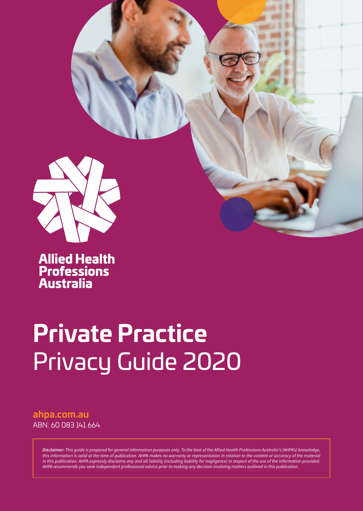

**Allied Health<br>Professions<br>Australia** 

# **Private Practice**  Privacy Guide 2020

### **[ahpa.com.au](http://ahpa.com.au)**  ABN: 60 083 141 664

*Disclaimer: This guide is prepared for general information purposes only. To the best of the Allied Health Professions Australia's (AHPA's) knowledge, this information is valid at the time of publication. AHPA makes no warranty or representation in relation to the content or accuracy of the material in this publication. AHPA expressly disclaims any and all liability (including liability for negligence) in respect of the use of the information provided. AHPA recommends you seek independent professional advice prior to making any decision involving matters outlined in this publication.*

**PRIVATE PRACTICE** PRIVACY GUIDE | 2020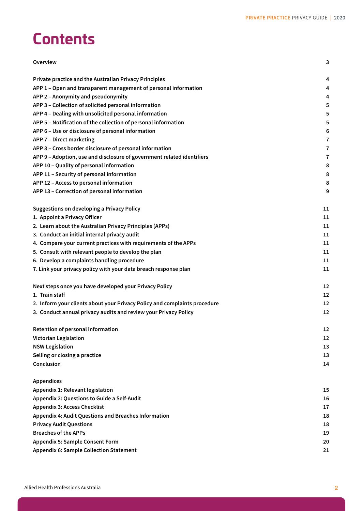# **Contents**

| Overview                                                                  | 3  |
|---------------------------------------------------------------------------|----|
| Private practice and the Australian Privacy Principles                    | 4  |
| APP 1 - Open and transparent management of personal information           | 4  |
| APP 2 - Anonymity and pseudonymity                                        | 4  |
| APP 3 - Collection of solicited personal information                      | 5  |
| APP 4 - Dealing with unsolicited personal information                     | 5  |
| APP 5 - Notification of the collection of personal information            | 5  |
| APP 6 - Use or disclosure of personal information                         | 6  |
| APP 7 - Direct marketing                                                  | 7  |
| APP 8 - Cross border disclosure of personal information                   | 7  |
| APP 9 - Adoption, use and disclosure of government related identifiers    | 7  |
| APP 10 - Quality of personal information                                  | 8  |
| APP 11 - Security of personal information                                 | 8  |
| APP 12 - Access to personal information                                   | 8  |
| APP 13 - Correction of personal information                               | 9  |
| <b>Suggestions on developing a Privacy Policy</b>                         | 11 |
| 1. Appoint a Privacy Officer                                              | 11 |
| 2. Learn about the Australian Privacy Principles (APPs)                   | 11 |
| 3. Conduct an initial internal privacy audit                              | 11 |
| 4. Compare your current practices with requirements of the APPs           | 11 |
| 5. Consult with relevant people to develop the plan                       | 11 |
| 6. Develop a complaints handling procedure                                | 11 |
| 7. Link your privacy policy with your data breach response plan           | 11 |
| Next steps once you have developed your Privacy Policy                    | 12 |
| 1. Train staff                                                            | 12 |
| 2. Inform your clients about your Privacy Policy and complaints procedure | 12 |
| 3. Conduct annual privacy audits and review your Privacy Policy           | 12 |
| Retention of personal information                                         | 12 |
| <b>Victorian Legislation</b>                                              | 12 |
| <b>NSW Legislation</b>                                                    | 13 |
| Selling or closing a practice                                             | 13 |
| Conclusion                                                                | 14 |
| <b>Appendices</b>                                                         |    |
| <b>Appendix 1: Relevant legislation</b>                                   | 15 |
| Appendix 2: Questions to Guide a Self-Audit                               | 16 |
| <b>Appendix 3: Access Checklist</b>                                       | 17 |
| <b>Appendix 4: Audit Questions and Breaches Information</b>               | 18 |
| <b>Privacy Audit Questions</b>                                            | 18 |
| <b>Breaches of the APPs</b>                                               | 19 |
| <b>Appendix 5: Sample Consent Form</b>                                    | 20 |
| <b>Appendix 6: Sample Collection Statement</b>                            | 21 |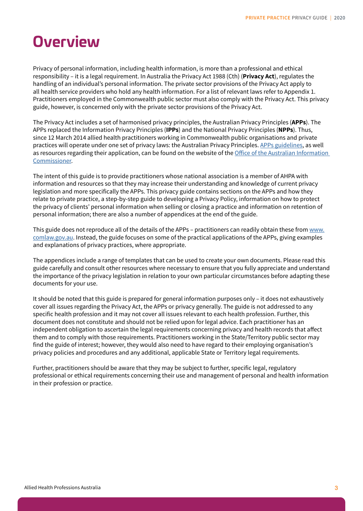### <span id="page-2-0"></span>**Overview**

Privacy of personal information, including health information, is more than a professional and ethical responsibility – it is a legal requirement. In Australia the Privacy Act 1988 (Cth) (**Privacy Act**), regulates the handling of an individual's personal information. The private sector provisions of the Privacy Act apply to all health service providers who hold any health information. For a list of relevant laws refer to Appendix 1. Practitioners employed in the Commonwealth public sector must also comply with the Privacy Act. This privacy guide, however, is concerned only with the private sector provisions of the Privacy Act.

The Privacy Act includes a set of harmonised privacy principles, the Australian Privacy Principles (**APPs**). The APPs replaced the Information Privacy Principles (**IPPs**) and the National Privacy Principles (**NPPs**). Thus, since 12 March 2014 allied health practitioners working in Commonwealth public organisations and private practices will operate under one set of privacy laws: the Australian Privacy Principles. [APPs guidelines,](http://www.oaic.gov.au/privacy/applying-privacy-law/app-guidelines/) as well as resources regarding their application, can be found on the website of the [Office of the Australian Information](http://www.oaic.gov.au/)  [Commissioner](http://www.oaic.gov.au/).

The intent of this guide is to provide practitioners whose national association is a member of AHPA with information and resources so that they may increase their understanding and knowledge of current privacy legislation and more specifically the APPs. This privacy guide contains sections on the APPs and how they relate to private practice, a step-by-step guide to developing a Privacy Policy, information on how to protect the privacy of clients' personal information when selling or closing a practice and information on retention of personal information; there are also a number of appendices at the end of the guide.

This guide does not reproduce all of the details of the APPs – practitioners can readily obtain these from [www.](http://www.comlaw.gov.au/) [comlaw.gov.au.](http://www.comlaw.gov.au/) Instead, the guide focuses on some of the practical applications of the APPs, giving examples and explanations of privacy practices, where appropriate.

The appendices include a range of templates that can be used to create your own documents. Please read this guide carefully and consult other resources where necessary to ensure that you fully appreciate and understand the importance of the privacy legislation in relation to your own particular circumstances before adapting these documents for your use.

It should be noted that this guide is prepared for general information purposes only – it does not exhaustively cover all issues regarding the Privacy Act, the APPs or privacy generally. The guide is not addressed to any specific health profession and it may not cover all issues relevant to each health profession. Further, this document does not constitute and should not be relied upon for legal advice. Each practitioner has an independent obligation to ascertain the legal requirements concerning privacy and health records that affect them and to comply with those requirements. Practitioners working in the State/Territory public sector may find the guide of interest; however, they would also need to have regard to their employing organisation's privacy policies and procedures and any additional, applicable State or Territory legal requirements.

Further, practitioners should be aware that they may be subject to further, specific legal, regulatory professional or ethical requirements concerning their use and management of personal and health information in their profession or practice.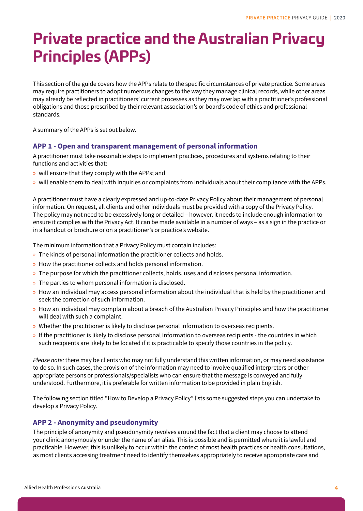# <span id="page-3-0"></span>**Private practice and the Australian Privacy Principles (APPs)**

This section of the guide covers how the APPs relate to the specific circumstances of private practice. Some areas may require practitioners to adopt numerous changes to the way they manage clinical records, while other areas may already be reflected in practitioners' current processes as they may overlap with a practitioner's professional obligations and those prescribed by their relevant association's or board's code of ethics and professional standards.

A summary of the APPs is set out below.

#### **APP 1 - Open and transparent management of personal information**

A practitioner must take reasonable steps to implement practices, procedures and systems relating to their functions and activities that:

- » will ensure that they comply with the APPs; and
- » will enable them to deal with inquiries or complaints from individuals about their compliance with the APPs.

A practitioner must have a clearly expressed and up-to-date Privacy Policy about their management of personal information. On request, all clients and other individuals must be provided with a copy of the Privacy Policy. The policy may not need to be excessively long or detailed – however, it needs to include enough information to ensure it complies with the Privacy Act. It can be made available in a number of ways – as a sign in the practice or in a handout or brochure or on a practitioner's or practice's website.

The minimum information that a Privacy Policy must contain includes:

- » The kinds of personal information the practitioner collects and holds.
- » How the practitioner collects and holds personal information.
- » The purpose for which the practitioner collects, holds, uses and discloses personal information.
- » The parties to whom personal information is disclosed.
- » How an individual may access personal information about the individual that is held by the practitioner and seek the correction of such information.
- » How an individual may complain about a breach of the Australian Privacy Principles and how the practitioner will deal with such a complaint.
- » Whether the practitioner is likely to disclose personal information to overseas recipients.
- » If the practitioner is likely to disclose personal information to overseas recipients the countries in which such recipients are likely to be located if it is practicable to specify those countries in the policy.

*Please note:* there may be clients who may not fully understand this written information, or may need assistance to do so. In such cases, the provision of the information may need to involve qualified interpreters or other appropriate persons or professionals/specialists who can ensure that the message is conveyed and fully understood. Furthermore, it is preferable for written information to be provided in plain English.

The following section titled "How to Develop a Privacy Policy" lists some suggested steps you can undertake to develop a Privacy Policy.

### **APP 2 - Anonymity and pseudonymity**

The principle of anonymity and pseudonymity revolves around the fact that a client may choose to attend your clinic anonymously or under the name of an alias. This is possible and is permitted where it is lawful and practicable. However, this is unlikely to occur within the context of most health practices or health consultations, as most clients accessing treatment need to identify themselves appropriately to receive appropriate care and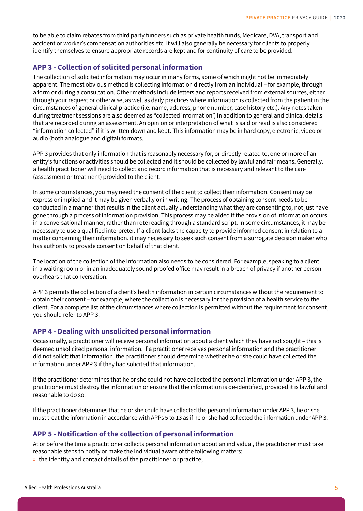<span id="page-4-0"></span>to be able to claim rebates from third party funders such as private health funds, Medicare, DVA, transport and accident or worker's compensation authorities etc. It will also generally be necessary for clients to properly identify themselves to ensure appropriate records are kept and for continuity of care to be provided.

### **APP 3 - Collection of solicited personal information**

The collection of solicited information may occur in many forms, some of which might not be immediately apparent. The most obvious method is collecting information directly from an individual – for example, through a form or during a consultation. Other methods include letters and reports received from external sources, either through your request or otherwise, as well as daily practices where information is collected from the patient in the circumstances of general clinical practice (i.e. name, address, phone number, case history etc.). Any notes taken during treatment sessions are also deemed as "collected information", in addition to general and clinical details that are recorded during an assessment. An opinion or interpretation of what is said or read is also considered "information collected" if it is written down and kept. This information may be in hard copy, electronic, video or audio (both analogue and digital) formats.

APP 3 provides that only information that is reasonably necessary for, or directly related to, one or more of an entity's functions or activities should be collected and it should be collected by lawful and fair means. Generally, a health practitioner will need to collect and record information that is necessary and relevant to the care (assessment or treatment) provided to the client.

In some circumstances, you may need the consent of the client to collect their information. Consent may be express or implied and it may be given verbally or in writing. The process of obtaining consent needs to be conducted in a manner that results in the client actually understanding what they are consenting to, not just have gone through a process of information provision. This process may be aided if the provision of information occurs in a conversational manner, rather than rote reading through a standard script. In some circumstances, it may be necessary to use a qualified interpreter. If a client lacks the capacity to provide informed consent in relation to a matter concerning their information, it may necessary to seek such consent from a surrogate decision maker who has authority to provide consent on behalf of that client.

The location of the collection of the information also needs to be considered. For example, speaking to a client in a waiting room or in an inadequately sound proofed office may result in a breach of privacy if another person overhears that conversation.

APP 3 permits the collection of a client's health information in certain circumstances without the requirement to obtain their consent – for example, where the collection is necessary for the provision of a health service to the client. For a complete list of the circumstances where collection is permitted without the requirement for consent, you should refer to APP 3.

#### **APP 4 - Dealing with unsolicited personal information**

Occasionally, a practitioner will receive personal information about a client which they have not sought – this is deemed unsolicited personal information. If a practitioner receives personal information and the practitioner did not solicit that information, the practitioner should determine whether he or she could have collected the information under APP 3 if they had solicited that information.

If the practitioner determines that he or she could not have collected the personal information under APP 3, the practitioner must destroy the information or ensure that the information is de-identified, provided it is lawful and reasonable to do so.

If the practitioner determines that he or she could have collected the personal information under APP 3, he or she must treat the information in accordance with APPs 5 to 13 as if he or she had collected the information under APP 3.

#### **APP 5 - Notification of the collection of personal information**

At or before the time a practitioner collects personal information about an individual, the practitioner must take reasonable steps to notify or make the individual aware of the following matters:

» the identity and contact details of the practitioner or practice;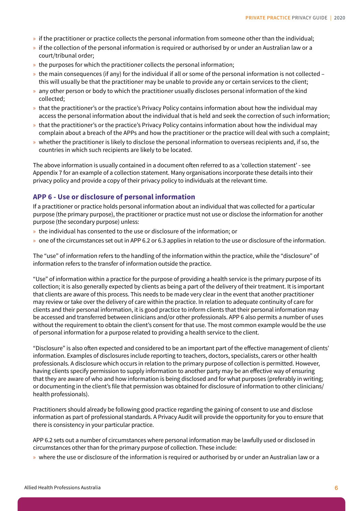- <span id="page-5-0"></span>» if the practitioner or practice collects the personal information from someone other than the individual;
- » if the collection of the personal information is required or authorised by or under an Australian law or a court/tribunal order;
- » the purposes for which the practitioner collects the personal information;
- » the main consequences (if any) for the individual if all or some of the personal information is not collected this will usually be that the practitioner may be unable to provide any or certain services to the client;
- » any other person or body to which the practitioner usually discloses personal information of the kind collected;
- » that the practitioner's or the practice's Privacy Policy contains information about how the individual may access the personal information about the individual that is held and seek the correction of such information;
- » that the practitioner's or the practice's Privacy Policy contains information about how the individual may complain about a breach of the APPs and how the practitioner or the practice will deal with such a complaint;
- » whether the practitioner is likely to disclose the personal information to overseas recipients and, if so, the countries in which such recipients are likely to be located.

The above information is usually contained in a document often referred to as a 'collection statement' - see Appendix 7 for an example of a collection statement. Many organisations incorporate these details into their privacy policy and provide a copy of their privacy policy to individuals at the relevant time.

### **APP 6 - Use or disclosure of personal information**

If a practitioner or practice holds personal information about an individual that was collected for a particular purpose (the primary purpose), the practitioner or practice must not use or disclose the information for another purpose (the secondary purpose) unless:

- » the individual has consented to the use or disclosure of the information; or
- » one of the circumstances set out in APP 6.2 or 6.3 applies in relation to the use or disclosure of the information.

The "use" of information refers to the handling of the information within the practice, while the "disclosure" of information refers to the transfer of information outside the practice.

"Use" of information within a practice for the purpose of providing a health service is the primary purpose of its collection; it is also generally expected by clients as being a part of the delivery of their treatment. It is important that clients are aware of this process. This needs to be made very clear in the event that another practitioner may review or take over the delivery of care within the practice. In relation to adequate continuity of care for clients and their personal information, it is good practice to inform clients that their personal information may be accessed and transferred between clinicians and/or other professionals. APP 6 also permits a number of uses without the requirement to obtain the client's consent for that use. The most common example would be the use of personal information for a purpose related to providing a health service to the client.

"Disclosure" is also often expected and considered to be an important part of the effective management of clients' information. Examples of disclosures include reporting to teachers, doctors, specialists, carers or other health professionals. A disclosure which occurs in relation to the primary purpose of collection is permitted. However, having clients specify permission to supply information to another party may be an effective way of ensuring that they are aware of who and how information is being disclosed and for what purposes (preferably in writing; or documenting in the client's file that permission was obtained for disclosure of information to other clinicians/ health professionals).

Practitioners should already be following good practice regarding the gaining of consent to use and disclose information as part of professional standards. A Privacy Audit will provide the opportunity for you to ensure that there is consistency in your particular practice.

APP 6.2 sets out a number of circumstances where personal information may be lawfully used or disclosed in circumstances other than for the primary purpose of collection. These include:

» where the use or disclosure of the information is required or authorised by or under an Australian law or a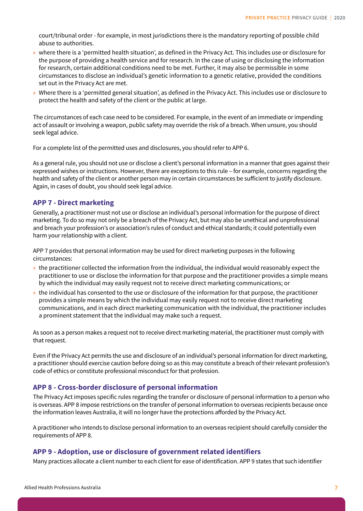<span id="page-6-0"></span>court/tribunal order - for example, in most jurisdictions there is the mandatory reporting of possible child abuse to authorities.

- » where there is a 'permitted health situation', as defined in the Privacy Act. This includes use or disclosure for the purpose of providing a health service and for research. In the case of using or disclosing the information for research, certain additional conditions need to be met. Further, it may also be permissible in some circumstances to disclose an individual's genetic information to a genetic relative, provided the conditions set out in the Privacy Act are met.
- » Where there is a 'permitted general situation', as defined in the Privacy Act. This includes use or disclosure to protect the health and safety of the client or the public at large.

The circumstances of each case need to be considered. For example, in the event of an immediate or impending act of assault or involving a weapon, public safety may override the risk of a breach. When unsure, you should seek legal advice.

For a complete list of the permitted uses and disclosures, you should refer to APP 6.

As a general rule, you should not use or disclose a client's personal information in a manner that goes against their expressed wishes or instructions. However, there are exceptions to this rule – for example, concerns regarding the health and safety of the client or another person may in certain circumstances be sufficient to justify disclosure. Again, in cases of doubt, you should seek legal advice.

### **APP 7 - Direct marketing**

Generally, a practitioner must not use or disclose an individual's personal information for the purpose of direct marketing. To do so may not only be a breach of the Privacy Act, but may also be unethical and unprofessional and breach your profession's or association's rules of conduct and ethical standards; it could potentially even harm your relationship with a client.

APP 7 provides that personal information may be used for direct marketing purposes in the following circumstances:

- » the practitioner collected the information from the individual, the individual would reasonably expect the practitioner to use or disclose the information for that purpose and the practitioner provides a simple means by which the individual may easily request not to receive direct marketing communications; or
- » the individual has consented to the use or disclosure of the information for that purpose, the practitioner provides a simple means by which the individual may easily request not to receive direct marketing communications, and in each direct marketing communication with the individual, the practitioner includes a prominent statement that the individual may make such a request.

As soon as a person makes a request not to receive direct marketing material, the practitioner must comply with that request.

Even if the Privacy Act permits the use and disclosure of an individual's personal information for direct marketing, a practitioner should exercise caution before doing so as this may constitute a breach of their relevant profession's code of ethics or constitute professional misconduct for that profession.

### **APP 8 - Cross-border disclosure of personal information**

The Privacy Act imposes specific rules regarding the transfer or disclosure of personal information to a person who is overseas. APP 8 impose restrictions on the transfer of personal information to overseas recipients because once the information leaves Australia, it will no longer have the protections afforded by the Privacy Act.

A practitioner who intends to disclose personal information to an overseas recipient should carefully consider the requirements of APP 8.

### **APP 9 - Adoption, use or disclosure of government related identifiers**

Many practices allocate a client number to each client for ease of identification. APP 9 states that such identifier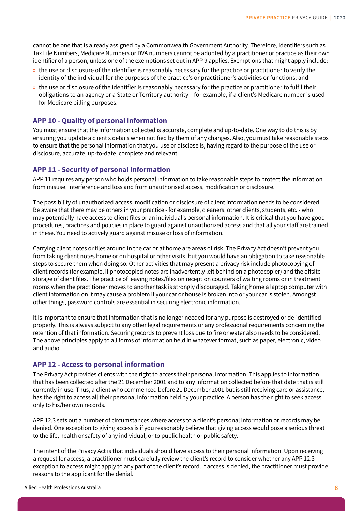<span id="page-7-0"></span>cannot be one that is already assigned by a Commonwealth Government Authority. Therefore, identifiers such as Tax File Numbers, Medicare Numbers or DVA numbers cannot be adopted by a practitioner or practice as their own identifier of a person, unless one of the exemptions set out in APP 9 applies. Exemptions that might apply include:

- » the use or disclosure of the identifier is reasonably necessary for the practice or practitioner to verify the identity of the individual for the purposes of the practice's or practitioner's activities or functions; and
- » the use or disclosure of the identifier is reasonably necessary for the practice or practitioner to fulfil their obligations to an agency or a State or Territory authority – for example, if a client's Medicare number is used for Medicare billing purposes.

### **APP 10 - Quality of personal information**

You must ensure that the information collected is accurate, complete and up-to-date. One way to do this is by ensuring you update a client's details when notified by them of any changes. Also, you must take reasonable steps to ensure that the personal information that you use or disclose is, having regard to the purpose of the use or disclosure, accurate, up-to-date, complete and relevant.

### **APP 11 - Security of personal information**

APP 11 requires any person who holds personal information to take reasonable steps to protect the information from misuse, interference and loss and from unauthorised access, modification or disclosure.

The possibility of unauthorized access, modification or disclosure of client information needs to be considered. Be aware that there may be others in your practice - for example, cleaners, other clients, students, etc. - who may potentially have access to client files or an individual's personal information. It is critical that you have good procedures, practices and policies in place to guard against unauthorized access and that all your staff are trained in these. You need to actively guard against misuse or loss of information.

Carrying client notes or files around in the car or at home are areas of risk. The Privacy Act doesn't prevent you from taking client notes home or on hospital or other visits, but you would have an obligation to take reasonable steps to secure them when doing so. Other activities that may present a privacy risk include photocopying of client records (for example, if photocopied notes are inadvertently left behind on a photocopier) and the offsite storage of client files. The practice of leaving notes/files on reception counters of waiting rooms or in treatment rooms when the practitioner moves to another task is strongly discouraged. Taking home a laptop computer with client information on it may cause a problem if your car or house is broken into or your car is stolen. Amongst other things, password controls are essential in securing electronic information.

It is important to ensure that information that is no longer needed for any purpose is destroyed or de-identified properly. This is always subject to any other legal requirements or any professional requirements concerning the retention of that information. Securing records to prevent loss due to fire or water also needs to be considered. The above principles apply to all forms of information held in whatever format, such as paper, electronic, video and audio.

### **APP 12 - Access to personal information**

The Privacy Act provides clients with the right to access their personal information. This applies to information that has been collected after the 21 December 2001 and to any information collected before that date that is still currently in use. Thus, a client who commenced before 21 December 2001 but is still receiving care or assistance, has the right to access all their personal information held by your practice. A person has the right to seek access only to his/her own records.

APP 12.3 sets out a number of circumstances where access to a client's personal information or records may be denied. One exception to giving access is if you reasonably believe that giving access would pose a serious threat to the life, health or safety of any individual, or to public health or public safety.

The intent of the Privacy Act is that individuals should have access to their personal information. Upon receiving a request for access, a practitioner must carefully review the client's record to consider whether any APP 12.3 exception to access might apply to any part of the client's record. If access is denied, the practitioner must provide reasons to the applicant for the denial.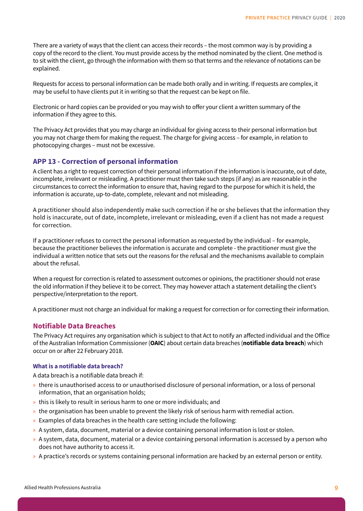<span id="page-8-0"></span>There are a variety of ways that the client can access their records – the most common way is by providing a copy of the record to the client. You must provide access by the method nominated by the client. One method is to sit with the client, go through the information with them so that terms and the relevance of notations can be explained.

Requests for access to personal information can be made both orally and in writing. If requests are complex, it may be useful to have clients put it in writing so that the request can be kept on file.

Electronic or hard copies can be provided or you may wish to offer your client a written summary of the information if they agree to this.

The Privacy Act provides that you may charge an individual for giving access to their personal information but you may not charge them for making the request. The charge for giving access – for example, in relation to photocopying charges – must not be excessive.

#### **APP 13 - Correction of personal information**

A client has a right to request correction of their personal information if the information is inaccurate, out of date, incomplete, irrelevant or misleading. A practitioner must then take such steps (if any) as are reasonable in the circumstances to correct the information to ensure that, having regard to the purpose for which it is held, the information is accurate, up-to-date, complete, relevant and not misleading.

A practitioner should also independently make such correction if he or she believes that the information they hold is inaccurate, out of date, incomplete, irrelevant or misleading, even if a client has not made a request for correction.

If a practitioner refuses to correct the personal information as requested by the individual – for example, because the practitioner believes the information is accurate and complete - the practitioner must give the individual a written notice that sets out the reasons for the refusal and the mechanisms available to complain about the refusal.

When a request for correction is related to assessment outcomes or opinions, the practitioner should not erase the old information if they believe it to be correct. They may however attach a statement detailing the client's perspective/interpretation to the report.

A practitioner must not charge an individual for making a request for correction or for correcting their information.

#### **Notifiable Data Breaches**

The Privacy Act requires any organisation which is subject to that Act to notify an affected individual and the Office of the Australian Information Commissioner (**OAIC**) about certain data breaches (**notifiable data breach**) which occur on or after 22 February 2018.

#### **What is a notifiable data breach?**

A data breach is a notifiable data breach if:

- » there is unauthorised access to or unauthorised disclosure of personal information, or a loss of personal information, that an organisation holds;
- » this is likely to result in serious harm to one or more individuals; and
- » the organisation has been unable to prevent the likely risk of serious harm with remedial action.
- » Examples of data breaches in the health care setting include the following:
- » A system, data, document, material or a device containing personal information is lost or stolen.
- » A system, data, document, material or a device containing personal information is accessed by a person who does not have authority to access it.
- » A practice's records or systems containing personal information are hacked by an external person or entity.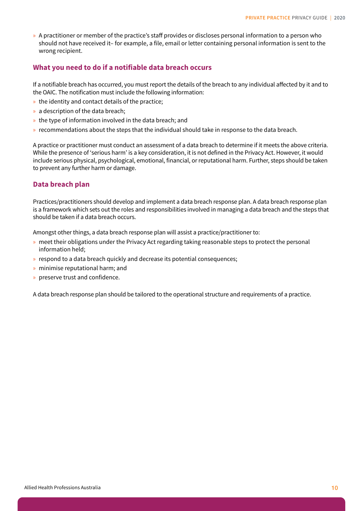» A practitioner or member of the practice's staff provides or discloses personal information to a person who should not have received it– for example, a file, email or letter containing personal information is sent to the wrong recipient.

### **What you need to do if a notifiable data breach occurs**

If a notifiable breach has occurred, you must report the details of the breach to any individual affected by it and to the OAIC. The notification must include the following information:

- » the identity and contact details of the practice;
- » a description of the data breach;
- » the type of information involved in the data breach; and
- » recommendations about the steps that the individual should take in response to the data breach.

A practice or practitioner must conduct an assessment of a data breach to determine if it meets the above criteria. While the presence of 'serious harm' is a key consideration, it is not defined in the Privacy Act. However, it would include serious physical, psychological, emotional, financial, or reputational harm. Further, steps should be taken to prevent any further harm or damage.

### **Data breach plan**

Practices/practitioners should develop and implement a data breach response plan. A data breach response plan is a framework which sets out the roles and responsibilities involved in managing a data breach and the steps that should be taken if a data breach occurs.

Amongst other things, a data breach response plan will assist a practice/practitioner to:

- » meet their obligations under the Privacy Act regarding taking reasonable steps to protect the personal information held;
- » respond to a data breach quickly and decrease its potential consequences;
- » minimise reputational harm; and
- » preserve trust and confidence.

A data breach response plan should be tailored to the operational structure and requirements of a practice.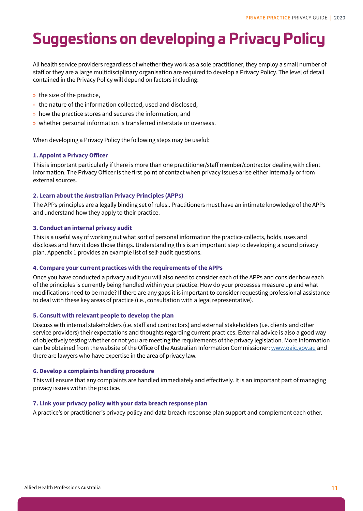# <span id="page-10-0"></span>**Suggestions on developing a Privacy Policy**

All health service providers regardless of whether they work as a sole practitioner, they employ a small number of staff or they are a large multidisciplinary organisation are required to develop a Privacy Policy. The level of detail contained in the Privacy Policy will depend on factors including:

- » the size of the practice,
- » the nature of the information collected, used and disclosed,
- » how the practice stores and secures the information, and
- » whether personal information is transferred interstate or overseas.

When developing a Privacy Policy the following steps may be useful:

#### **1. Appoint a Privacy Officer**

This is important particularly if there is more than one practitioner/staff member/contractor dealing with client information. The Privacy Officer is the first point of contact when privacy issues arise either internally or from external sources.

#### **2. Learn about the Australian Privacy Principles (APPs)**

The APPs principles are a legally binding set of rules.. Practitioners must have an intimate knowledge of the APPs and understand how they apply to their practice.

#### **3. Conduct an internal privacy audit**

This is a useful way of working out what sort of personal information the practice collects, holds, uses and discloses and how it does those things. Understanding this is an important step to developing a sound privacy plan. Appendix 1 provides an example list of self-audit questions.

#### **4. Compare your current practices with the requirements of the APPs**

Once you have conducted a privacy audit you will also need to consider each of the APPs and consider how each of the principles is currently being handled within your practice. How do your processes measure up and what modifications need to be made? If there are any gaps it is important to consider requesting professional assistance to deal with these key areas of practice (i.e., consultation with a legal representative).

#### **5. Consult with relevant people to develop the plan**

Discuss with internal stakeholders (i.e. staff and contractors) and external stakeholders (i.e. clients and other service providers) their expectations and thoughts regarding current practices. External advice is also a good way of objectively testing whether or not you are meeting the requirements of the privacy legislation. More information can be obtained from the website of the Office of the Australian Information Commissioner: [www.oaic.gov.au](https://www.oaic.gov.au/) and there are lawyers who have expertise in the area of privacy law.

#### **6. Develop a complaints handling procedure**

This will ensure that any complaints are handled immediately and effectively. It is an important part of managing privacy issues within the practice.

#### **7. Link your privacy policy with your data breach response plan**

A practice's or practitioner's privacy policy and data breach response plan support and complement each other.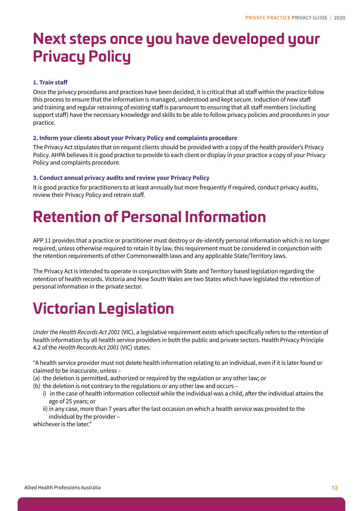# <span id="page-11-0"></span>**Next steps once you have developed your Privacy Policy**

### **1. Train staff**

Once the privacy procedures and practices have been decided, it is critical that all staff within the practice follow this process to ensure that the information is managed, understood and kept secure. Induction of new staff and training and regular retraining of existing staff is paramount to ensuring that all staff members (including support staff) have the necessary knowledge and skills to be able to follow privacy policies and procedures in your practice.

#### **2. Inform your clients about your Privacy Policy and complaints procedure**

The Privacy Act stipulates that on request clients should be provided with a copy of the health provider's Privacy Policy. AHPA believes it is good practice to provide to each client or display in your practice a copy of your Privacy Policy and complaints procedure.

### **3. Conduct annual privacy audits and review your Privacy Policy**

It is good practice for practitioners to at least annually but more frequently if required, conduct privacy audits, review their Privacy Policy and retrain staff.

## **Retention of Personal Information**

APP 11 provides that a practice or practitioner must destroy or de-identify personal information which is no longer required, unless otherwise required to retain it by law. this requirement must be considered in conjunction with the retention requirements of other Commonwealth laws and any applicable State/Territory laws.

The Privacy Act is intended to operate in conjunction with State and Territory based legislation regarding the retention of health records. Victoria and New South Wales are two States which have legislated the retention of personal information in the private sector.

# **Victorian Legislation**

*Under the Health Records Act 2001* (VIC), a legislative requirement exists which specifically refers to the retention of health information by all health service providers in both the public and private sectors. Health Privacy Principle 4.2 of the *Health Records Act 2001* (VIC) states:

"A health service provider must not delete health information relating to an individual, even if it is later found or claimed to be inaccurate, unless –

- (a) the deletion is permitted, authorized or required by the regulation or any other law; or
- (b) the deletion is not contrary to the regulations or any other law and occurs
	- i) in the case of health information collected while the individual was a child, after the individual attains the age of 25 years; or
	- ii)in any case, more than 7 years after the last occasion on which a health service was provided to the individual by the provider –

whichever is the later."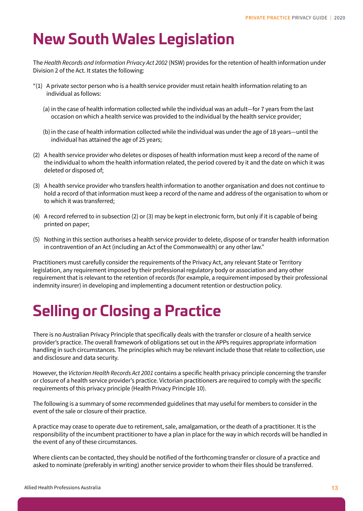# <span id="page-12-0"></span>**New South Wales Legislation**

The *Health Records and Information Privacy Act 2002* (NSW) provides for the retention of health information under Division 2 of the Act. It states the following:

- "(1) A private sector person who is a health service provider must retain health information relating to an individual as follows:
	- (a) in the case of health information collected while the individual was an adult—for 7 years from the last occasion on which a health service was provided to the individual by the health service provider;
	- (b)in the case of health information collected while the individual was under the age of 18 years—until the individual has attained the age of 25 years;
- (2) A health service provider who deletes or disposes of health information must keep a record of the name of the individual to whom the health information related, the period covered by it and the date on which it was deleted or disposed of;
- (3) A health service provider who transfers health information to another organisation and does not continue to hold a record of that information must keep a record of the name and address of the organisation to whom or to which it was transferred;
- (4) A record referred to in subsection (2) or (3) may be kept in electronic form, but only if it is capable of being printed on paper;
- (5) Nothing in this section authorises a health service provider to delete, dispose of or transfer health information in contravention of an Act (including an Act of the Commonwealth) or any other law."

Practitioners must carefully consider the requirements of the Privacy Act, any relevant State or Territory legislation, any requirement imposed by their professional regulatory body or association and any other requirement that is relevant to the retention of records (for example, a requirement imposed by their professional indemnity insurer) in developing and implementing a document retention or destruction policy.

# **Selling or Closing a Practice**

There is no Australian Privacy Principle that specifically deals with the transfer or closure of a health service provider's practice. The overall framework of obligations set out in the APPs requires appropriate information handling in such circumstances. The principles which may be relevant include those that relate to collection, use and disclosure and data security.

However, the *Victorian Health Records Act 2001* contains a specific health privacy principle concerning the transfer or closure of a health service provider's practice. Victorian practitioners are required to comply with the specific requirements of this privacy principle (Health Privacy Principle 10).

The following is a summary of some recommended guidelines that may useful for members to consider in the event of the sale or closure of their practice.

A practice may cease to operate due to retirement, sale, amalgamation, or the death of a practitioner. It is the responsibility of the incumbent practitioner to have a plan in place for the way in which records will be handled in the event of any of these circumstances.

Where clients can be contacted, they should be notified of the forthcoming transfer or closure of a practice and asked to nominate (preferably in writing) another service provider to whom their files should be transferred.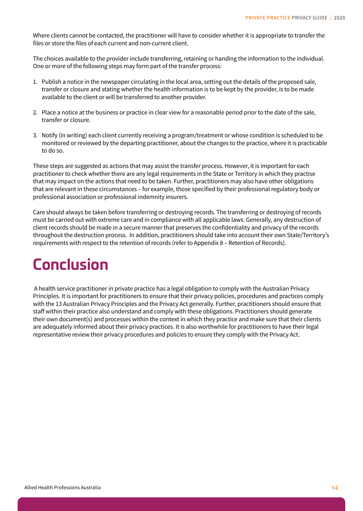<span id="page-13-0"></span>Where clients cannot be contacted, the practitioner will have to consider whether it is appropriate to transfer the files or store the files of each current and non-current client.

The choices available to the provider include transferring, retaining or handing the information to the individual. One or more of the following steps may form part of the transfer process:

- 1. Publish a notice in the newspaper circulating in the local area, setting out the details of the proposed sale, transfer or closure and stating whether the health information is to be kept by the provider, is to be made available to the client or will be transferred to another provider.
- 2. Place a notice at the business or practice in clear view for a reasonable period prior to the date of the sale, transfer or closure.
- 3. Notify (in writing) each client currently receiving a program/treatment or whose condition is scheduled to be monitored or reviewed by the departing practitioner, about the changes to the practice, where it is practicable to do so.

These steps are suggested as actions that may assist the transfer process. However, it is important for each practitioner to check whether there are any legal requirements in the State or Territory in which they practise that may impact on the actions that need to be taken. Further, practitioners may also have other obligations that are relevant in these circumstances – for example, those specified by their professional regulatory body or professional association or professional indemnity insurers.

Care should always be taken before transferring or destroying records. The transferring or destroying of records must be carried out with extreme care and in compliance with all applicable laws. Generally, any destruction of client records should be made in a secure manner that preserves the confidentiality and privacy of the records throughout the destruction process. In addition, practitioners should take into account their own State/Territory's requirements with respect to the retention of records (refer to Appendix 8 – Retention of Records).

# **Conclusion**

 A health service practitioner in private practice has a legal obligation to comply with the Australian Privacy Principles. It is important for practitioners to ensure that their privacy policies, procedures and practices comply with the 13 Australian Privacy Principles and the Privacy Act generally. Further, practitioners should ensure that staff within their practice also understand and comply with these obligations. Practitioners should generate their own document(s) and processes within the context in which they practice and make sure that their clients are adequately informed about their privacy practices. It is also worthwhile for practitioners to have their legal representative review their privacy procedures and policies to ensure they comply with the Privacy Act.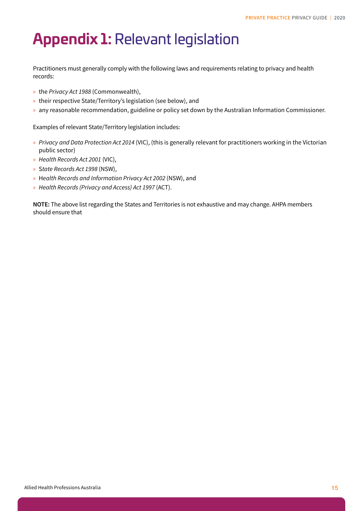### <span id="page-14-0"></span>**Appendix 1:** Relevant legislation

Practitioners must generally comply with the following laws and requirements relating to privacy and health records:

- » the *Privacy Act 1988* (Commonwealth),
- » their respective State/Territory's legislation (see below), and
- » any reasonable recommendation, guideline or policy set down by the Australian Information Commissioner.

Examples of relevant State/Territory legislation includes:

- » *Privacy and Data Protection Act 2014* (VIC), (this is generally relevant for practitioners working in the Victorian public sector)
- » *Health Records Act 2001* (VIC),
- » S*tate Records Act 1998* (NSW),
- » H*ealth Records and Information Privacy Act 2002* (NSW), and
- » *Health Records (Privacy and Access) Act 1997* (ACT).

**NOTE:** The above list regarding the States and Territories is not exhaustive and may change. AHPA members should ensure that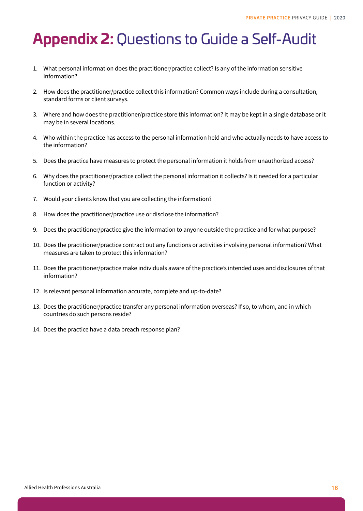# <span id="page-15-0"></span>**Appendix 2:** Questions to Guide a Self-Audit

- 1. What personal information does the practitioner/practice collect? Is any of the information sensitive information?
- 2. How does the practitioner/practice collect this information? Common ways include during a consultation, standard forms or client surveys.
- 3. Where and how does the practitioner/practice store this information? It may be kept in a single database or it may be in several locations.
- 4. Who within the practice has access to the personal information held and who actually needs to have access to the information?
- 5. Does the practice have measures to protect the personal information it holds from unauthorized access?
- 6. Why does the practitioner/practice collect the personal information it collects? Is it needed for a particular function or activity?
- 7. Would your clients know that you are collecting the information?
- 8. How does the practitioner/practice use or disclose the information?
- 9. Does the practitioner/practice give the information to anyone outside the practice and for what purpose?
- 10. Does the practitioner/practice contract out any functions or activities involving personal information? What measures are taken to protect this information?
- 11. Does the practitioner/practice make individuals aware of the practice's intended uses and disclosures of that information?
- 12. Is relevant personal information accurate, complete and up-to-date?
- 13. Does the practitioner/practice transfer any personal information overseas? If so, to whom, and in which countries do such persons reside?
- 14. Does the practice have a data breach response plan?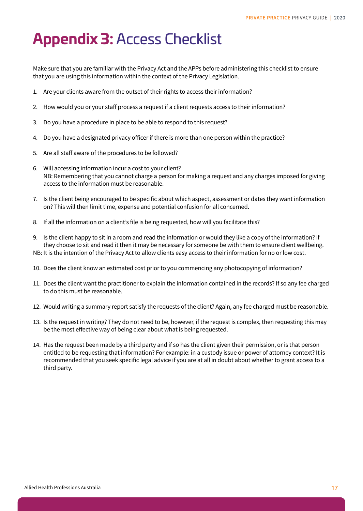# <span id="page-16-0"></span>**Appendix 3:** Access Checklist

Make sure that you are familiar with the Privacy Act and the APPs before administering this checklist to ensure that you are using this information within the context of the Privacy Legislation.

- 1. Are your clients aware from the outset of their rights to access their information?
- 2. How would you or your staff process a request if a client requests access to their information?
- 3. Do you have a procedure in place to be able to respond to this request?
- 4. Do you have a designated privacy officer if there is more than one person within the practice?
- 5. Are all staff aware of the procedures to be followed?
- 6. Will accessing information incur a cost to your client? NB: Remembering that you cannot charge a person for making a request and any charges imposed for giving access to the information must be reasonable.
- 7. Is the client being encouraged to be specific about which aspect, assessment or dates they want information on? This will then limit time, expense and potential confusion for all concerned.
- 8. If all the information on a client's file is being requested, how will you facilitate this?
- 9. Is the client happy to sit in a room and read the information or would they like a copy of the information? If they choose to sit and read it then it may be necessary for someone be with them to ensure client wellbeing. NB: It is the intention of the Privacy Act to allow clients easy access to their information for no or low cost.
- 10. Does the client know an estimated cost prior to you commencing any photocopying of information?
- 11. Does the client want the practitioner to explain the information contained in the records? If so any fee charged to do this must be reasonable.
- 12. Would writing a summary report satisfy the requests of the client? Again, any fee charged must be reasonable.
- 13. Is the request in writing? They do not need to be, however, if the request is complex, then requesting this may be the most effective way of being clear about what is being requested.
- 14. Has the request been made by a third party and if so has the client given their permission, or is that person entitled to be requesting that information? For example: in a custody issue or power of attorney context? It is recommended that you seek specific legal advice if you are at all in doubt about whether to grant access to a third party.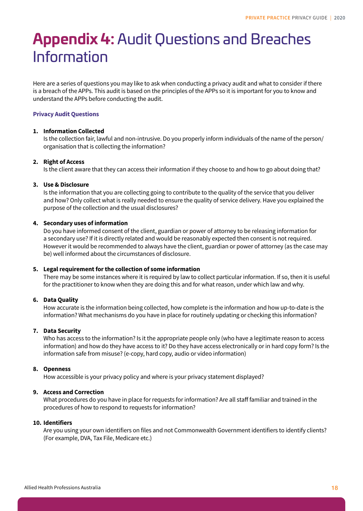# <span id="page-17-0"></span>**Appendix 4:** Audit Questions and Breaches Information

Here are a series of questions you may like to ask when conducting a privacy audit and what to consider if there is a breach of the APPs. This audit is based on the principles of the APPs so it is important for you to know and understand the APPs before conducting the audit.

### **Privacy Audit Questions**

#### **1. Information Collected**

Is the collection fair, lawful and non-intrusive. Do you properly inform individuals of the name of the person/ organisation that is collecting the information?

#### **2. Right of Access**

Is the client aware that they can access their information if they choose to and how to go about doing that?

#### **3. Use & Disclosure**

Is the information that you are collecting going to contribute to the quality of the service that you deliver and how? Only collect what is really needed to ensure the quality of service delivery. Have you explained the purpose of the collection and the usual disclosures?

### **4. Secondary uses of information**

Do you have informed consent of the client, guardian or power of attorney to be releasing information for a secondary use? If it is directly related and would be reasonably expected then consent is not required. However it would be recommended to always have the client, guardian or power of attorney (as the case may be) well informed about the circumstances of disclosure.

#### **5. Legal requirement for the collection of some information**

There may be some instances where it is required by law to collect particular information. If so, then it is useful for the practitioner to know when they are doing this and for what reason, under which law and why.

#### **6. Data Quality**

How accurate is the information being collected, how complete is the information and how up-to-date is the information? What mechanisms do you have in place for routinely updating or checking this information?

#### **7. Data Security**

Who has access to the information? Is it the appropriate people only (who have a legitimate reason to access information) and how do they have access to it? Do they have access electronically or in hard copy form? Is the information safe from misuse? (e-copy, hard copy, audio or video information)

#### **8. Openness**

How accessible is your privacy policy and where is your privacy statement displayed?

#### **9. Access and Correction**

What procedures do you have in place for requests for information? Are all staff familiar and trained in the procedures of how to respond to requests for information?

#### **10. Identifiers**

Are you using your own identifiers on files and not Commonwealth Government identifiers to identify clients? (For example, DVA, Tax File, Medicare etc.)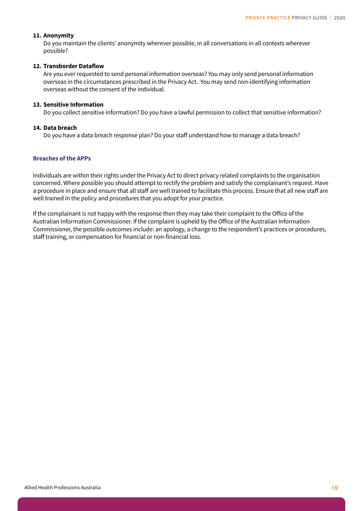#### <span id="page-18-0"></span>**11. Anonymity**

Do you maintain the clients' anonymity wherever possible, in all conversations in all contexts wherever possible?

#### **12. Transborder Dataflow**

Are you ever requested to send personal information overseas? You may only send personal information overseas in the circumstances prescribed in the Privacy Act. You may send non-identifying information overseas without the consent of the individual.

#### **13. Sensitive Information**

Do you collect sensitive information? Do you have a lawful permission to collect that sensitive information?

#### **14. Data breach**

Do you have a data breach response plan? Do your staff understand how to manage a data breach?

#### **Breaches of the APPs**

Individuals are within their rights under the Privacy Act to direct privacy related complaints to the organisation concerned. Where possible you should attempt to rectify the problem and satisfy the complainant's request. Have a procedure in place and ensure that all staff are well trained to facilitate this process. Ensure that all new staff are well trained in the policy and procedures that you adopt for your practice.

If the complainant is not happy with the response then they may take their complaint to the Office of the Australian Information Commissioner. If the complaint is upheld by the Office of the Australian Information Commissioner, the possible outcomes include: an apology, a change to the respondent's practices or procedures, staff training, or compensation for financial or non-financial loss.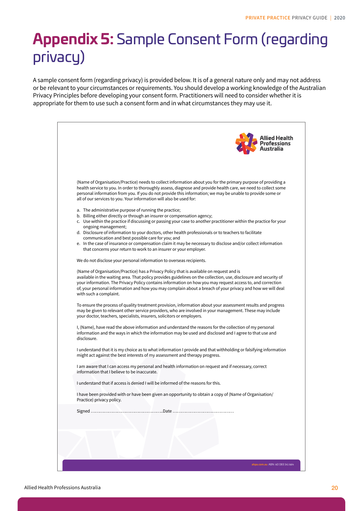# <span id="page-19-0"></span>**Appendix 5:** Sample Consent Form (regarding privacy)

A sample consent form (regarding privacy) is provided below. It is of a general nature only and may not address or be relevant to your circumstances or requirements. You should develop a working knowledge of the Australian Privacy Principles before developing your consent form. Practitioners will need to consider whether it is appropriate for them to use such a consent form and in what circumstances they may use it.

| <b>Allied Health<br/>Professions</b>                                                                                                                                                                                                                                                                                                                                                                                                                                |
|---------------------------------------------------------------------------------------------------------------------------------------------------------------------------------------------------------------------------------------------------------------------------------------------------------------------------------------------------------------------------------------------------------------------------------------------------------------------|
| (Name of Organisation/Practice) needs to collect information about you for the primary purpose of providing a<br>health service to you. In order to thoroughly assess, diagnose and provide health care, we need to collect some                                                                                                                                                                                                                                    |
| personal information from you. If you do not provide this information; we may be unable to provide some or<br>all of our services to you. Your information will also be used for:                                                                                                                                                                                                                                                                                   |
| a. The administrative purpose of running the practice;<br>b. Billing either directly or through an insurer or compensation agency;<br>c. Use within the practice if discussing or passing your case to another practitioner within the practice for your                                                                                                                                                                                                            |
| ongoing management;<br>d. Disclosure of information to your doctors, other health professionals or to teachers to facilitate                                                                                                                                                                                                                                                                                                                                        |
| communication and best possible care for you; and<br>e. In the case of insurance or compensation claim it may be necessary to disclose and/or collect information<br>that concerns your return to work to an insurer or your employer.                                                                                                                                                                                                                              |
| We do not disclose your personal information to overseas recipients.                                                                                                                                                                                                                                                                                                                                                                                                |
| (Name of Organisation/Practice) has a Privacy Policy that is available on request and is<br>available in the waiting area. That policy provides guidelines on the collection, use, disclosure and security of<br>your information. The Privacy Policy contains information on how you may request access to, and correction<br>of, your personal information and how you may complain about a breach of your privacy and how we will deal<br>with such a complaint. |
| To ensure the process of quality treatment provision, information about your assessment results and progress<br>may be given to relevant other service providers, who are involved in your management. These may include<br>your doctor, teachers, specialists, insurers, solicitors or employers.                                                                                                                                                                  |
| I, (Name), have read the above information and understand the reasons for the collection of my personal<br>information and the ways in which the information may be used and disclosed and I agree to that use and<br>disclosure.                                                                                                                                                                                                                                   |
| I understand that it is my choice as to what information I provide and that withholding or falsifying information<br>might act against the best interests of my assessment and therapy progress.                                                                                                                                                                                                                                                                    |
| I am aware that I can access my personal and health information on request and if necessary, correct<br>information that I believe to be inaccurate.                                                                                                                                                                                                                                                                                                                |
| I understand that if access is denied I will be informed of the reasons for this.                                                                                                                                                                                                                                                                                                                                                                                   |
| I have been provided with or have been given an opportunity to obtain a copy of (Name of Organisation/<br>Practice) privacy policy.                                                                                                                                                                                                                                                                                                                                 |
|                                                                                                                                                                                                                                                                                                                                                                                                                                                                     |
|                                                                                                                                                                                                                                                                                                                                                                                                                                                                     |
|                                                                                                                                                                                                                                                                                                                                                                                                                                                                     |
|                                                                                                                                                                                                                                                                                                                                                                                                                                                                     |